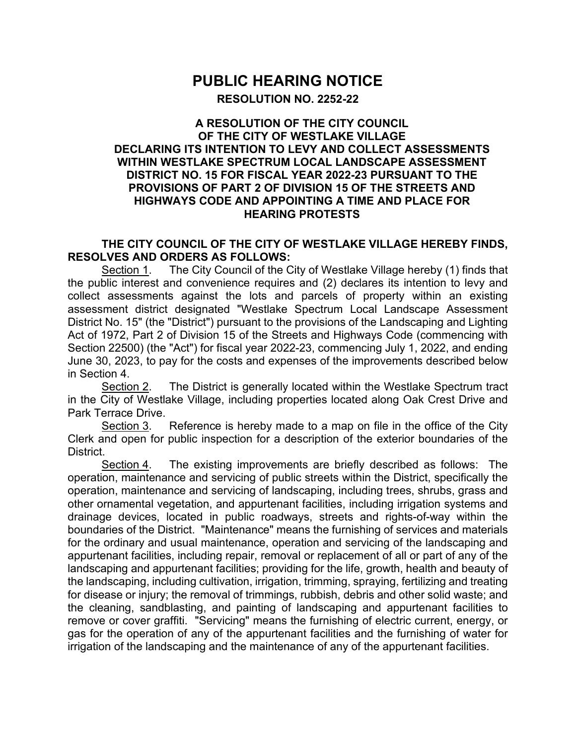## **PUBLIC HEARING NOTICE**

**RESOLUTION NO. 2252-22**

## **A RESOLUTION OF THE CITY COUNCIL OF THE CITY OF WESTLAKE VILLAGE DECLARING ITS INTENTION TO LEVY AND COLLECT ASSESSMENTS WITHIN WESTLAKE SPECTRUM LOCAL LANDSCAPE ASSESSMENT DISTRICT NO. 15 FOR FISCAL YEAR 2022-23 PURSUANT TO THE PROVISIONS OF PART 2 OF DIVISION 15 OF THE STREETS AND HIGHWAYS CODE AND APPOINTING A TIME AND PLACE FOR HEARING PROTESTS**

## **THE CITY COUNCIL OF THE CITY OF WESTLAKE VILLAGE HEREBY FINDS, RESOLVES AND ORDERS AS FOLLOWS:**

Section 1. The City Council of the City of Westlake Village hereby (1) finds that the public interest and convenience requires and (2) declares its intention to levy and collect assessments against the lots and parcels of property within an existing assessment district designated "Westlake Spectrum Local Landscape Assessment District No. 15" (the "District") pursuant to the provisions of the Landscaping and Lighting Act of 1972, Part 2 of Division 15 of the Streets and Highways Code (commencing with Section 22500) (the "Act") for fiscal year 2022-23, commencing July 1, 2022, and ending June 30, 2023, to pay for the costs and expenses of the improvements described below in Section 4.

Section 2. The District is generally located within the Westlake Spectrum tract in the City of Westlake Village, including properties located along Oak Crest Drive and Park Terrace Drive.

Section 3. Reference is hereby made to a map on file in the office of the City Clerk and open for public inspection for a description of the exterior boundaries of the District.

Section 4. The existing improvements are briefly described as follows: The operation, maintenance and servicing of public streets within the District, specifically the operation, maintenance and servicing of landscaping, including trees, shrubs, grass and other ornamental vegetation, and appurtenant facilities, including irrigation systems and drainage devices, located in public roadways, streets and rights-of-way within the boundaries of the District. "Maintenance" means the furnishing of services and materials for the ordinary and usual maintenance, operation and servicing of the landscaping and appurtenant facilities, including repair, removal or replacement of all or part of any of the landscaping and appurtenant facilities; providing for the life, growth, health and beauty of the landscaping, including cultivation, irrigation, trimming, spraying, fertilizing and treating for disease or injury; the removal of trimmings, rubbish, debris and other solid waste; and the cleaning, sandblasting, and painting of landscaping and appurtenant facilities to remove or cover graffiti. "Servicing" means the furnishing of electric current, energy, or gas for the operation of any of the appurtenant facilities and the furnishing of water for irrigation of the landscaping and the maintenance of any of the appurtenant facilities.